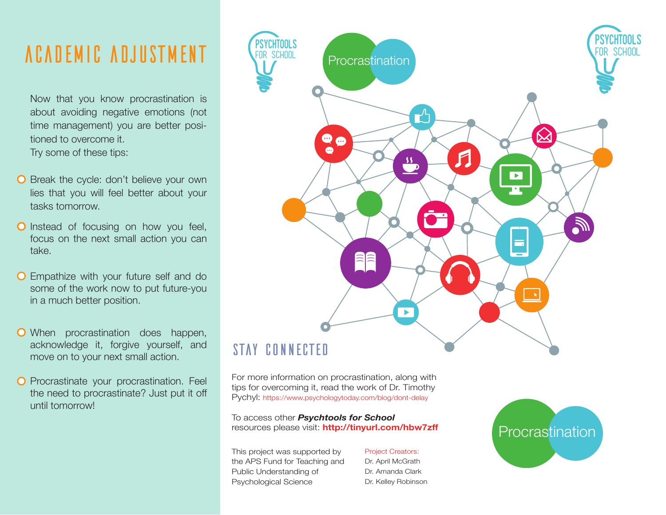## AcadeMic AdjusTment

Now that you know procrastination is about avoiding negative emotions (not time management) you are better positioned to overcome it. Try some of these tips:

- **O** Break the cycle: don't believe your own lies that you will feel better about your tasks tomorrow.
- **O** Instead of focusing on how you feel, focus on the next small action you can take.
- **O** Empathize with your future self and do some of the work now to put future-you in a much better position.
- When procrastination does happen, acknowledge it, forgive yourself, and move on to your next small action.
- **O** Procrastinate your procrastination. Feel the need to procrastinate? Just put it off until tomorrow!



### STAY CONNECTED

For more information on procrastination, along with tips for overcoming it, read the work of Dr. Timothy Pychyl: https://www.psychologytoday.com/blog/dont-delay

To access other *Psychtools for School* resources please visit: **http://tinyurl.com/hbw7zff**

This project was supported by the APS Fund for Teaching and Public Understanding of Psychological Science

#### Project Creators:

Dr. April McGrath Dr. Amanda Clark Dr. Kelley Robinson